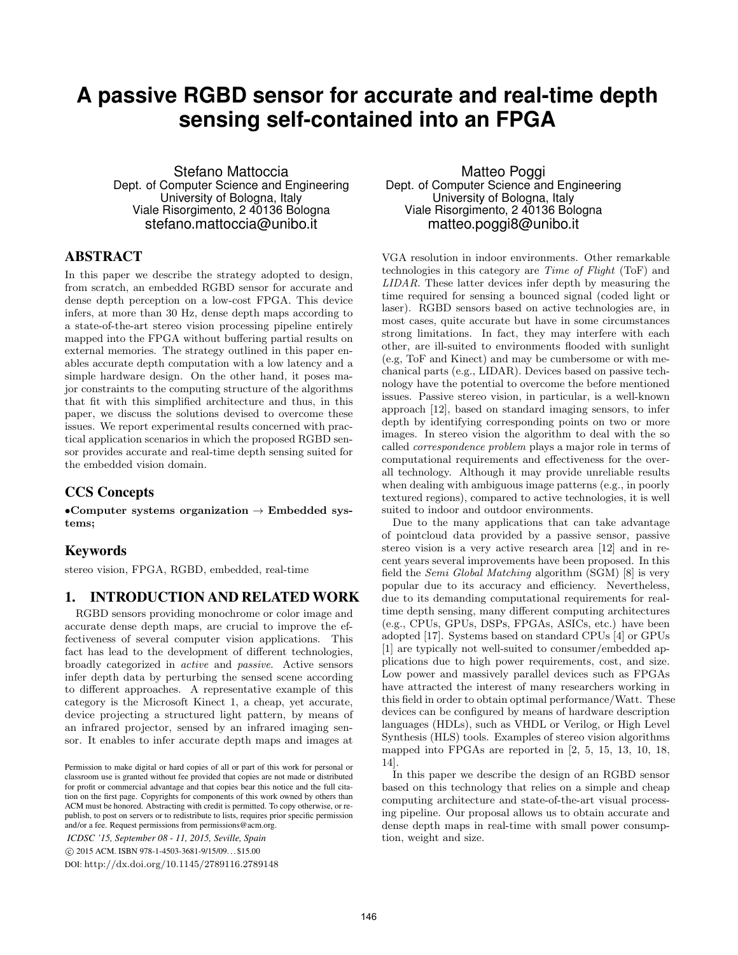# **A passive RGBD sensor for accurate and real-time depth sensing self-contained into an FPGA**

Stefano Mattoccia Dept. of Computer Science and Engineering University of Bologna, Italy Viale Risorgimento, 2 40136 Bologna stefano.mattoccia@unibo.it

## ABSTRACT

In this paper we describe the strategy adopted to design, from scratch, an embedded RGBD sensor for accurate and dense depth perception on a low-cost FPGA. This device infers, at more than 30 Hz, dense depth maps according to a state-of-the-art stereo vision processing pipeline entirely mapped into the FPGA without buffering partial results on external memories. The strategy outlined in this paper enables accurate depth computation with a low latency and a simple hardware design. On the other hand, it poses major constraints to the computing structure of the algorithms that fit with this simplified architecture and thus, in this paper, we discuss the solutions devised to overcome these issues. We report experimental results concerned with practical application scenarios in which the proposed RGBD sensor provides accurate and real-time depth sensing suited for the embedded vision domain.

# CCS Concepts

•Computer systems organization  $\rightarrow$  Embedded systems;

## Keywords

stereo vision, FPGA, RGBD, embedded, real-time

# 1. INTRODUCTION AND RELATED WORK

RGBD sensors providing monochrome or color image and accurate dense depth maps, are crucial to improve the effectiveness of several computer vision applications. This fact has lead to the development of different technologies, broadly categorized in active and passive. Active sensors infer depth data by perturbing the sensed scene according to different approaches. A representative example of this category is the Microsoft Kinect 1, a cheap, yet accurate, device projecting a structured light pattern, by means of an infrared projector, sensed by an infrared imaging sensor. It enables to infer accurate depth maps and images at

*ICDSC '15, September 08 - 11, 2015, Seville, Spain* c 2015 ACM. ISBN 978-1-4503-3681-9/15/09. . . \$15.00 DOI: http://dx.doi.org/10.1145/2789116.2789148

Matteo Poggi Dept. of Computer Science and Engineering University of Bologna, Italy Viale Risorgimento, 2 40136 Bologna matteo.poggi8@unibo.it

VGA resolution in indoor environments. Other remarkable technologies in this category are Time of Flight (ToF) and LIDAR. These latter devices infer depth by measuring the time required for sensing a bounced signal (coded light or laser). RGBD sensors based on active technologies are, in most cases, quite accurate but have in some circumstances strong limitations. In fact, they may interfere with each other, are ill-suited to environments flooded with sunlight (e.g, ToF and Kinect) and may be cumbersome or with mechanical parts (e.g., LIDAR). Devices based on passive technology have the potential to overcome the before mentioned issues. Passive stereo vision, in particular, is a well-known approach [12], based on standard imaging sensors, to infer depth by identifying corresponding points on two or more images. In stereo vision the algorithm to deal with the so called correspondence problem plays a major role in terms of computational requirements and effectiveness for the overall technology. Although it may provide unreliable results when dealing with ambiguous image patterns (e.g., in poorly textured regions), compared to active technologies, it is well suited to indoor and outdoor environments.

Due to the many applications that can take advantage of pointcloud data provided by a passive sensor, passive stereo vision is a very active research area [12] and in recent years several improvements have been proposed. In this field the Semi Global Matching algorithm (SGM) [8] is very popular due to its accuracy and efficiency. Nevertheless, due to its demanding computational requirements for realtime depth sensing, many different computing architectures (e.g., CPUs, GPUs, DSPs, FPGAs, ASICs, etc.) have been adopted [17]. Systems based on standard CPUs [4] or GPUs [1] are typically not well-suited to consumer/embedded applications due to high power requirements, cost, and size. Low power and massively parallel devices such as FPGAs have attracted the interest of many researchers working in this field in order to obtain optimal performance/Watt. These devices can be configured by means of hardware description languages (HDLs), such as VHDL or Verilog, or High Level Synthesis (HLS) tools. Examples of stereo vision algorithms mapped into FPGAs are reported in [2, 5, 15, 13, 10, 18, 14].

In this paper we describe the design of an RGBD sensor based on this technology that relies on a simple and cheap computing architecture and state-of-the-art visual processing pipeline. Our proposal allows us to obtain accurate and dense depth maps in real-time with small power consumption, weight and size.

Permission to make digital or hard copies of all or part of this work for personal or classroom use is granted without fee provided that copies are not made or distributed for profit or commercial advantage and that copies bear this notice and the full citation on the first page. Copyrights for components of this work owned by others than ACM must be honored. Abstracting with credit is permitted. To copy otherwise, or republish, to post on servers or to redistribute to lists, requires prior specific permission and/or a fee. Request permissions from permissions@acm.org.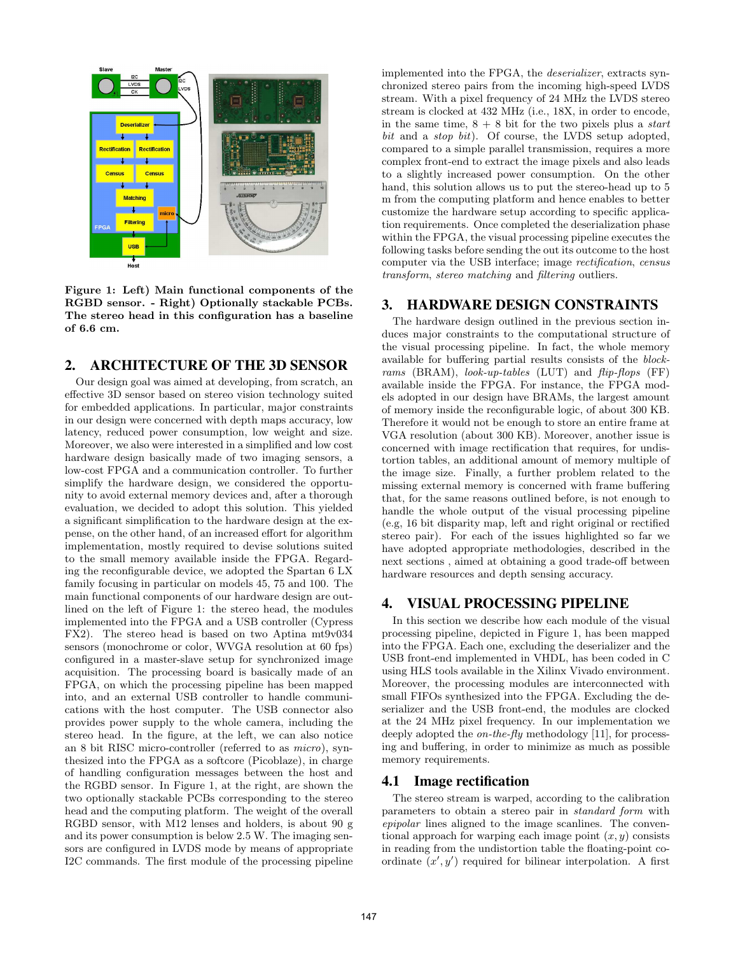

Figure 1: Left) Main functional components of the RGBD sensor. - Right) Optionally stackable PCBs. The stereo head in this configuration has a baseline of 6.6 cm.

# 2. ARCHITECTURE OF THE 3D SENSOR

Our design goal was aimed at developing, from scratch, an effective 3D sensor based on stereo vision technology suited for embedded applications. In particular, major constraints in our design were concerned with depth maps accuracy, low latency, reduced power consumption, low weight and size. Moreover, we also were interested in a simplified and low cost hardware design basically made of two imaging sensors, a low-cost FPGA and a communication controller. To further simplify the hardware design, we considered the opportunity to avoid external memory devices and, after a thorough evaluation, we decided to adopt this solution. This yielded a significant simplification to the hardware design at the expense, on the other hand, of an increased effort for algorithm implementation, mostly required to devise solutions suited to the small memory available inside the FPGA. Regarding the reconfigurable device, we adopted the Spartan 6 LX family focusing in particular on models 45, 75 and 100. The main functional components of our hardware design are outlined on the left of Figure 1: the stereo head, the modules implemented into the FPGA and a USB controller (Cypress FX2). The stereo head is based on two Aptina mt9v034 sensors (monochrome or color, WVGA resolution at 60 fps) configured in a master-slave setup for synchronized image acquisition. The processing board is basically made of an FPGA, on which the processing pipeline has been mapped into, and an external USB controller to handle communications with the host computer. The USB connector also provides power supply to the whole camera, including the stereo head. In the figure, at the left, we can also notice an 8 bit RISC micro-controller (referred to as micro), synthesized into the FPGA as a softcore (Picoblaze), in charge of handling configuration messages between the host and the RGBD sensor. In Figure 1, at the right, are shown the two optionally stackable PCBs corresponding to the stereo head and the computing platform. The weight of the overall RGBD sensor, with M12 lenses and holders, is about 90 g and its power consumption is below 2.5 W. The imaging sensors are configured in LVDS mode by means of appropriate I2C commands. The first module of the processing pipeline implemented into the FPGA, the deserializer, extracts synchronized stereo pairs from the incoming high-speed LVDS stream. With a pixel frequency of 24 MHz the LVDS stereo stream is clocked at 432 MHz (i.e., 18X, in order to encode, in the same time,  $8 + 8$  bit for the two pixels plus a *start* bit and a *stop bit*). Of course, the LVDS setup adopted, compared to a simple parallel transmission, requires a more complex front-end to extract the image pixels and also leads to a slightly increased power consumption. On the other hand, this solution allows us to put the stereo-head up to 5 m from the computing platform and hence enables to better customize the hardware setup according to specific application requirements. Once completed the deserialization phase within the FPGA, the visual processing pipeline executes the following tasks before sending the out its outcome to the host computer via the USB interface; image rectification, census transform, stereo matching and filtering outliers.

## 3. HARDWARE DESIGN CONSTRAINTS

The hardware design outlined in the previous section induces major constraints to the computational structure of the visual processing pipeline. In fact, the whole memory available for buffering partial results consists of the blockrams (BRAM), look-up-tables (LUT) and flip-flops (FF) available inside the FPGA. For instance, the FPGA models adopted in our design have BRAMs, the largest amount of memory inside the reconfigurable logic, of about 300 KB. Therefore it would not be enough to store an entire frame at VGA resolution (about 300 KB). Moreover, another issue is concerned with image rectification that requires, for undistortion tables, an additional amount of memory multiple of the image size. Finally, a further problem related to the missing external memory is concerned with frame buffering that, for the same reasons outlined before, is not enough to handle the whole output of the visual processing pipeline (e.g, 16 bit disparity map, left and right original or rectified stereo pair). For each of the issues highlighted so far we have adopted appropriate methodologies, described in the next sections , aimed at obtaining a good trade-off between hardware resources and depth sensing accuracy.

# 4. VISUAL PROCESSING PIPELINE

In this section we describe how each module of the visual processing pipeline, depicted in Figure 1, has been mapped into the FPGA. Each one, excluding the deserializer and the USB front-end implemented in VHDL, has been coded in C using HLS tools available in the Xilinx Vivado environment. Moreover, the processing modules are interconnected with small FIFOs synthesized into the FPGA. Excluding the deserializer and the USB front-end, the modules are clocked at the 24 MHz pixel frequency. In our implementation we deeply adopted the on-the-fly methodology [11], for processing and buffering, in order to minimize as much as possible memory requirements.

#### 4.1 Image rectification

The stereo stream is warped, according to the calibration parameters to obtain a stereo pair in standard form with epipolar lines aligned to the image scanlines. The conventional approach for warping each image point  $(x, y)$  consists in reading from the undistortion table the floating-point coordinate  $(x', y')$  required for bilinear interpolation. A first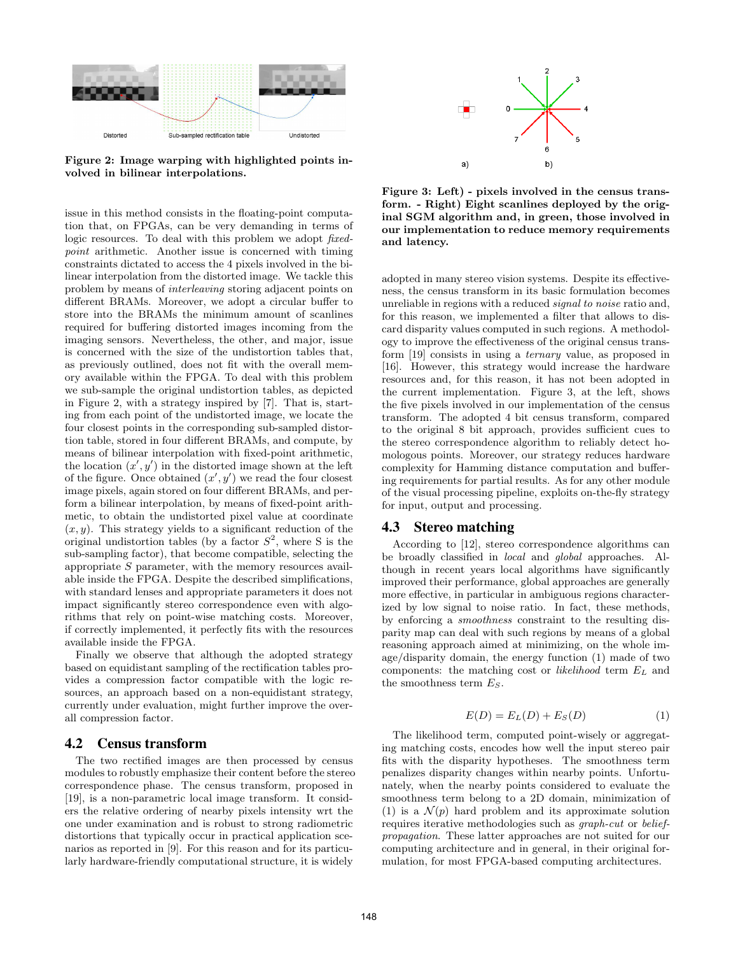

Figure 2: Image warping with highlighted points involved in bilinear interpolations.

issue in this method consists in the floating-point computation that, on FPGAs, can be very demanding in terms of logic resources. To deal with this problem we adopt *fixed*point arithmetic. Another issue is concerned with timing constraints dictated to access the 4 pixels involved in the bilinear interpolation from the distorted image. We tackle this problem by means of interleaving storing adjacent points on different BRAMs. Moreover, we adopt a circular buffer to store into the BRAMs the minimum amount of scanlines required for buffering distorted images incoming from the imaging sensors. Nevertheless, the other, and major, issue is concerned with the size of the undistortion tables that, as previously outlined, does not fit with the overall memory available within the FPGA. To deal with this problem we sub-sample the original undistortion tables, as depicted in Figure 2, with a strategy inspired by [7]. That is, starting from each point of the undistorted image, we locate the four closest points in the corresponding sub-sampled distortion table, stored in four different BRAMs, and compute, by means of bilinear interpolation with fixed-point arithmetic, the location  $(x', y')$  in the distorted image shown at the left of the figure. Once obtained  $(x', y')$  we read the four closest image pixels, again stored on four different BRAMs, and perform a bilinear interpolation, by means of fixed-point arithmetic, to obtain the undistorted pixel value at coordinate  $(x, y)$ . This strategy yields to a significant reduction of the original undistortion tables (by a factor  $S^2$ , where S is the sub-sampling factor), that become compatible, selecting the appropriate S parameter, with the memory resources available inside the FPGA. Despite the described simplifications, with standard lenses and appropriate parameters it does not impact significantly stereo correspondence even with algorithms that rely on point-wise matching costs. Moreover, if correctly implemented, it perfectly fits with the resources available inside the FPGA.

Finally we observe that although the adopted strategy based on equidistant sampling of the rectification tables provides a compression factor compatible with the logic resources, an approach based on a non-equidistant strategy, currently under evaluation, might further improve the overall compression factor.

### 4.2 Census transform

The two rectified images are then processed by census modules to robustly emphasize their content before the stereo correspondence phase. The census transform, proposed in [19], is a non-parametric local image transform. It considers the relative ordering of nearby pixels intensity wrt the one under examination and is robust to strong radiometric distortions that typically occur in practical application scenarios as reported in [9]. For this reason and for its particularly hardware-friendly computational structure, it is widely



Figure 3: Left) - pixels involved in the census transform. - Right) Eight scanlines deployed by the original SGM algorithm and, in green, those involved in our implementation to reduce memory requirements and latency.

adopted in many stereo vision systems. Despite its effectiveness, the census transform in its basic formulation becomes unreliable in regions with a reduced *signal to noise* ratio and, for this reason, we implemented a filter that allows to discard disparity values computed in such regions. A methodology to improve the effectiveness of the original census transform [19] consists in using a ternary value, as proposed in [16]. However, this strategy would increase the hardware resources and, for this reason, it has not been adopted in the current implementation. Figure 3, at the left, shows the five pixels involved in our implementation of the census transform. The adopted 4 bit census transform, compared to the original 8 bit approach, provides sufficient cues to the stereo correspondence algorithm to reliably detect homologous points. Moreover, our strategy reduces hardware complexity for Hamming distance computation and buffering requirements for partial results. As for any other module of the visual processing pipeline, exploits on-the-fly strategy for input, output and processing.

## 4.3 Stereo matching

According to [12], stereo correspondence algorithms can be broadly classified in local and global approaches. Although in recent years local algorithms have significantly improved their performance, global approaches are generally more effective, in particular in ambiguous regions characterized by low signal to noise ratio. In fact, these methods, by enforcing a smoothness constraint to the resulting disparity map can deal with such regions by means of a global reasoning approach aimed at minimizing, on the whole image/disparity domain, the energy function (1) made of two components: the matching cost or *likelihood* term  $E_L$  and the smoothness term  $E_S$ .

$$
E(D) = E_L(D) + E_S(D)
$$
\n<sup>(1)</sup>

The likelihood term, computed point-wisely or aggregating matching costs, encodes how well the input stereo pair fits with the disparity hypotheses. The smoothness term penalizes disparity changes within nearby points. Unfortunately, when the nearby points considered to evaluate the smoothness term belong to a 2D domain, minimization of (1) is a  $\mathcal{N}(p)$  hard problem and its approximate solution requires iterative methodologies such as graph-cut or beliefpropagation. These latter approaches are not suited for our computing architecture and in general, in their original formulation, for most FPGA-based computing architectures.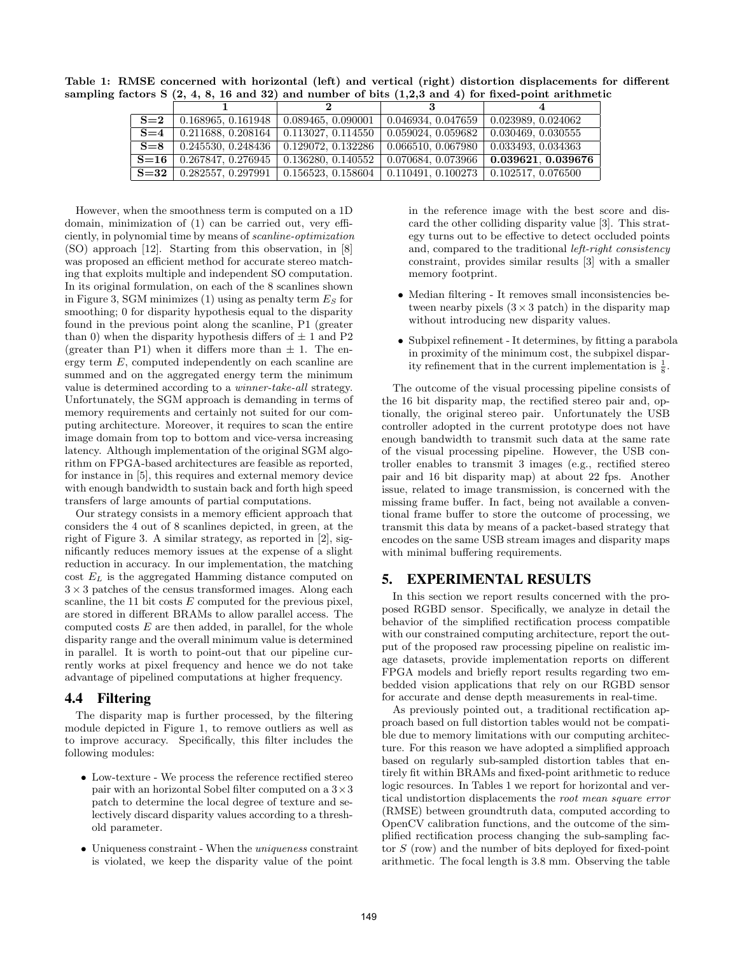Table 1: RMSE concerned with horizontal (left) and vertical (right) distortion displacements for different sampling factors  $S(2, 4, 8, 16, and 32)$  and number of bits  $(1,2,3,$  and 4) for fixed-point arithmetic

| $S=2$   | 0.168965, 0.161948                                                                         | 0.089465, 0.090001 | $\mid$ 0.046934, 0.047659 $\mid$ 0.023989, 0.024062 |                                                                      |
|---------|--------------------------------------------------------------------------------------------|--------------------|-----------------------------------------------------|----------------------------------------------------------------------|
|         | $S=4$   0.211688, 0.208164   0.113027, 0.114550                                            |                    | $\mid$ 0.059024, 0.059682 $\mid$ 0.030469, 0.030555 |                                                                      |
| $S = 8$ | 0.245530, 0.248436   0.129072, 0.132286                                                    |                    | $\mid$ 0.066510, 0.067980 $\mid$ 0.033493, 0.034363 |                                                                      |
| $S=16$  | 0.267847, 0.276945                                                                         |                    |                                                     | $0.136280, 0.140552 \mid 0.070684, 0.073966 \mid 0.039621, 0.039676$ |
|         | $S=32$   0.282557, 0.297991   0.156523, 0.158604   0.110491, 0.100273   0.102517, 0.076500 |                    |                                                     |                                                                      |

However, when the smoothness term is computed on a 1D domain, minimization of (1) can be carried out, very efficiently, in polynomial time by means of scanline-optimization (SO) approach [12]. Starting from this observation, in [8] was proposed an efficient method for accurate stereo matching that exploits multiple and independent SO computation. In its original formulation, on each of the 8 scanlines shown in Figure 3, SGM minimizes (1) using as penalty term  $E<sub>S</sub>$  for smoothing; 0 for disparity hypothesis equal to the disparity found in the previous point along the scanline, P1 (greater than 0) when the disparity hypothesis differs of  $\pm$  1 and P2 (greater than P1) when it differs more than  $\pm$  1. The energy term E, computed independently on each scanline are summed and on the aggregated energy term the minimum value is determined according to a winner-take-all strategy. Unfortunately, the SGM approach is demanding in terms of memory requirements and certainly not suited for our computing architecture. Moreover, it requires to scan the entire image domain from top to bottom and vice-versa increasing latency. Although implementation of the original SGM algorithm on FPGA-based architectures are feasible as reported, for instance in [5], this requires and external memory device with enough bandwidth to sustain back and forth high speed transfers of large amounts of partial computations.

Our strategy consists in a memory efficient approach that considers the 4 out of 8 scanlines depicted, in green, at the right of Figure 3. A similar strategy, as reported in [2], significantly reduces memory issues at the expense of a slight reduction in accuracy. In our implementation, the matching cost  $E_L$  is the aggregated Hamming distance computed on  $3 \times 3$  patches of the census transformed images. Along each scanline, the 11 bit costs  $E$  computed for the previous pixel, are stored in different BRAMs to allow parallel access. The computed costs  $E$  are then added, in parallel, for the whole disparity range and the overall minimum value is determined in parallel. It is worth to point-out that our pipeline currently works at pixel frequency and hence we do not take advantage of pipelined computations at higher frequency.

# 4.4 Filtering

The disparity map is further processed, by the filtering module depicted in Figure 1, to remove outliers as well as to improve accuracy. Specifically, this filter includes the following modules:

- Low-texture We process the reference rectified stereo pair with an horizontal Sobel filter computed on a 3×3 patch to determine the local degree of texture and selectively discard disparity values according to a threshold parameter.
- Uniqueness constraint When the *uniqueness* constraint is violated, we keep the disparity value of the point

in the reference image with the best score and discard the other colliding disparity value [3]. This strategy turns out to be effective to detect occluded points and, compared to the traditional left-right consistency constraint, provides similar results [3] with a smaller memory footprint.

- Median filtering It removes small inconsistencies between nearby pixels  $(3 \times 3 \text{ patch})$  in the disparity map without introducing new disparity values.
- Subpixel refinement It determines, by fitting a parabola in proximity of the minimum cost, the subpixel disparity refinement that in the current implementation is  $\frac{1}{8}$ .

The outcome of the visual processing pipeline consists of the 16 bit disparity map, the rectified stereo pair and, optionally, the original stereo pair. Unfortunately the USB controller adopted in the current prototype does not have enough bandwidth to transmit such data at the same rate of the visual processing pipeline. However, the USB controller enables to transmit 3 images (e.g., rectified stereo pair and 16 bit disparity map) at about 22 fps. Another issue, related to image transmission, is concerned with the missing frame buffer. In fact, being not available a conventional frame buffer to store the outcome of processing, we transmit this data by means of a packet-based strategy that encodes on the same USB stream images and disparity maps with minimal buffering requirements.

# 5. EXPERIMENTAL RESULTS

In this section we report results concerned with the proposed RGBD sensor. Specifically, we analyze in detail the behavior of the simplified rectification process compatible with our constrained computing architecture, report the output of the proposed raw processing pipeline on realistic image datasets, provide implementation reports on different FPGA models and briefly report results regarding two embedded vision applications that rely on our RGBD sensor for accurate and dense depth measurements in real-time.

As previously pointed out, a traditional rectification approach based on full distortion tables would not be compatible due to memory limitations with our computing architecture. For this reason we have adopted a simplified approach based on regularly sub-sampled distortion tables that entirely fit within BRAMs and fixed-point arithmetic to reduce logic resources. In Tables 1 we report for horizontal and vertical undistortion displacements the root mean square error (RMSE) between groundtruth data, computed according to OpenCV calibration functions, and the outcome of the simplified rectification process changing the sub-sampling factor S (row) and the number of bits deployed for fixed-point arithmetic. The focal length is 3.8 mm. Observing the table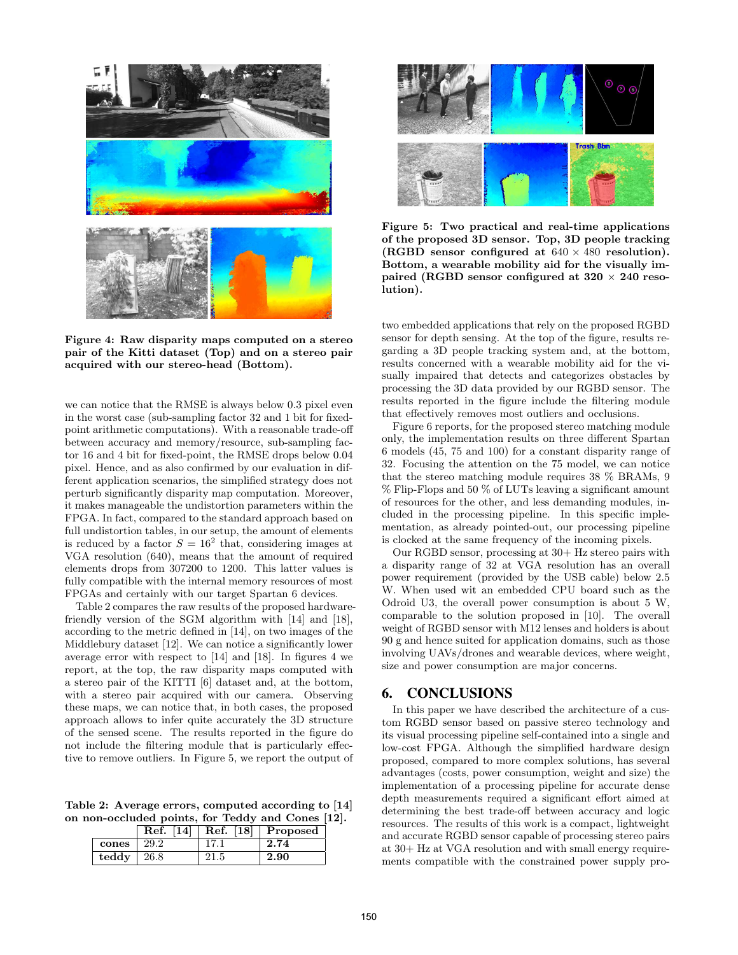

Figure 4: Raw disparity maps computed on a stereo pair of the Kitti dataset (Top) and on a stereo pair acquired with our stereo-head (Bottom).

we can notice that the RMSE is always below 0.3 pixel even in the worst case (sub-sampling factor 32 and 1 bit for fixedpoint arithmetic computations). With a reasonable trade-off between accuracy and memory/resource, sub-sampling factor 16 and 4 bit for fixed-point, the RMSE drops below 0.04 pixel. Hence, and as also confirmed by our evaluation in different application scenarios, the simplified strategy does not perturb significantly disparity map computation. Moreover, it makes manageable the undistortion parameters within the FPGA. In fact, compared to the standard approach based on full undistortion tables, in our setup, the amount of elements is reduced by a factor  $S = 16^2$  that, considering images at VGA resolution (640), means that the amount of required elements drops from 307200 to 1200. This latter values is fully compatible with the internal memory resources of most FPGAs and certainly with our target Spartan 6 devices.

Table 2 compares the raw results of the proposed hardwarefriendly version of the SGM algorithm with [14] and [18], according to the metric defined in [14], on two images of the Middlebury dataset [12]. We can notice a significantly lower average error with respect to [14] and [18]. In figures 4 we report, at the top, the raw disparity maps computed with a stereo pair of the KITTI [6] dataset and, at the bottom, with a stereo pair acquired with our camera. Observing these maps, we can notice that, in both cases, the proposed approach allows to infer quite accurately the 3D structure of the sensed scene. The results reported in the figure do not include the filtering module that is particularly effective to remove outliers. In Figure 5, we report the output of

Table 2: Average errors, computed according to [14] on non-occluded points, for Teddy and Cones [12].

|       | Ref.<br> 14 | Ref. [18] | Proposed |
|-------|-------------|-----------|----------|
| cones | 29.2        |           | 2.74     |
| teddy | 26.8        |           | 2.90     |



Figure 5: Two practical and real-time applications of the proposed 3D sensor. Top, 3D people tracking (RGBD sensor configured at  $640 \times 480$  resolution). Bottom, a wearable mobility aid for the visually impaired (RGBD sensor configured at  $320 \times 240$  resolution).

two embedded applications that rely on the proposed RGBD sensor for depth sensing. At the top of the figure, results regarding a 3D people tracking system and, at the bottom, results concerned with a wearable mobility aid for the visually impaired that detects and categorizes obstacles by processing the 3D data provided by our RGBD sensor. The results reported in the figure include the filtering module that effectively removes most outliers and occlusions.

Figure 6 reports, for the proposed stereo matching module only, the implementation results on three different Spartan 6 models (45, 75 and 100) for a constant disparity range of 32. Focusing the attention on the 75 model, we can notice that the stereo matching module requires 38 % BRAMs, 9 % Flip-Flops and 50 % of LUTs leaving a significant amount of resources for the other, and less demanding modules, included in the processing pipeline. In this specific implementation, as already pointed-out, our processing pipeline is clocked at the same frequency of the incoming pixels.

Our RGBD sensor, processing at 30+ Hz stereo pairs with a disparity range of 32 at VGA resolution has an overall power requirement (provided by the USB cable) below 2.5 W. When used wit an embedded CPU board such as the Odroid U3, the overall power consumption is about 5 W, comparable to the solution proposed in [10]. The overall weight of RGBD sensor with M12 lenses and holders is about 90 g and hence suited for application domains, such as those involving UAVs/drones and wearable devices, where weight, size and power consumption are major concerns.

# 6. CONCLUSIONS

In this paper we have described the architecture of a custom RGBD sensor based on passive stereo technology and its visual processing pipeline self-contained into a single and low-cost FPGA. Although the simplified hardware design proposed, compared to more complex solutions, has several advantages (costs, power consumption, weight and size) the implementation of a processing pipeline for accurate dense depth measurements required a significant effort aimed at determining the best trade-off between accuracy and logic resources. The results of this work is a compact, lightweight and accurate RGBD sensor capable of processing stereo pairs at 30+ Hz at VGA resolution and with small energy requirements compatible with the constrained power supply pro-